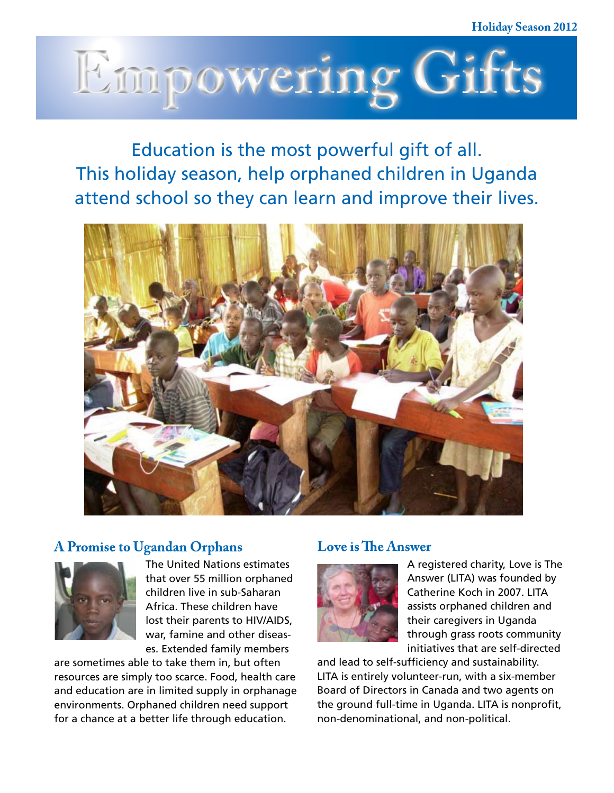

Education is the most powerful gift of all. This holiday season, help orphaned children in Uganda attend school so they can learn and improve their lives.



### **A Promise to Ugandan Orphans**



The United Nations estimates that over 55 million orphaned children live in sub-Saharan Africa. These children have lost their parents to HIV/AIDS, war, famine and other diseases. Extended family members

are sometimes able to take them in, but often resources are simply too scarce. Food, health care and education are in limited supply in orphanage environments. Orphaned children need support for a chance at a better life through education.

### **Love is The Answer**



A registered charity, Love is The Answer (LITA) was founded by Catherine Koch in 2007. LITA assists orphaned children and their caregivers in Uganda through grass roots community initiatives that are self-directed

and lead to self-sufficiency and sustainability. LITA is entirely volunteer-run, with a six-member Board of Directors in Canada and two agents on the ground full-time in Uganda. LITA is nonprofit, non-denominational, and non-political.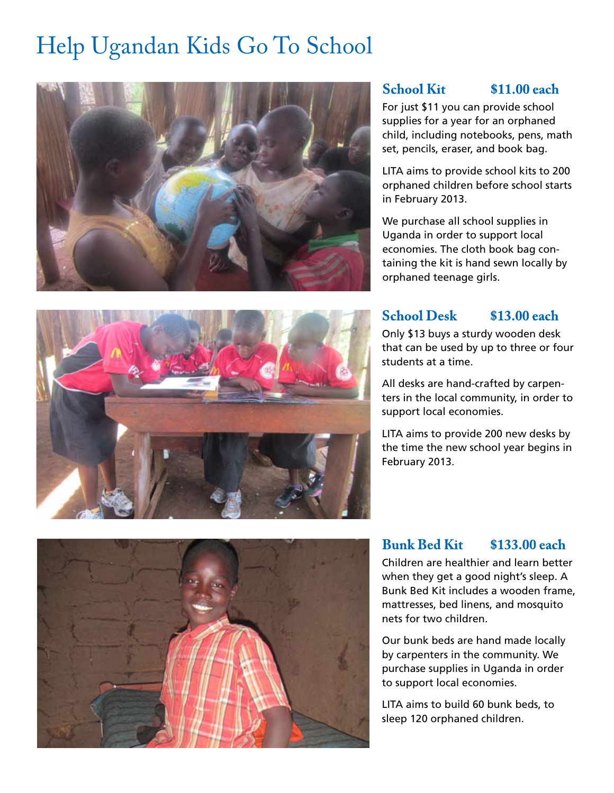## Help Ugandan Kids Go To School



### **School Kit \$11.00 each**

For just \$11 you can provide school supplies for a year for an orphaned child, including notebooks, pens, math set, pencils, eraser, and book bag.

LITA aims to provide school kits to 200 orphaned children before school starts in February 2013.

We purchase all school supplies in Uganda in order to support local economies. The cloth book bag containing the kit is hand sewn locally by orphaned teenage girls.

### **School Desk \$13.00 each**

Only \$13 buys a sturdy wooden desk that can be used by up to three or four students at a time.

All desks are hand-crafted by carpenters in the local community, in order to support local economies.

LITA aims to provide 200 new desks by the time the new school year begins in February 2013.



## **Bunk Bed Kit \$133.00 each**

Children are healthier and learn better when they get a good night's sleep. A Bunk Bed Kit includes a wooden frame, mattresses, bed linens, and mosquito nets for two children.

Our bunk beds are hand made locally by carpenters in the community. We purchase supplies in Uganda in order to support local economies.

LITA aims to build 60 bunk beds, to sleep 120 orphaned children.

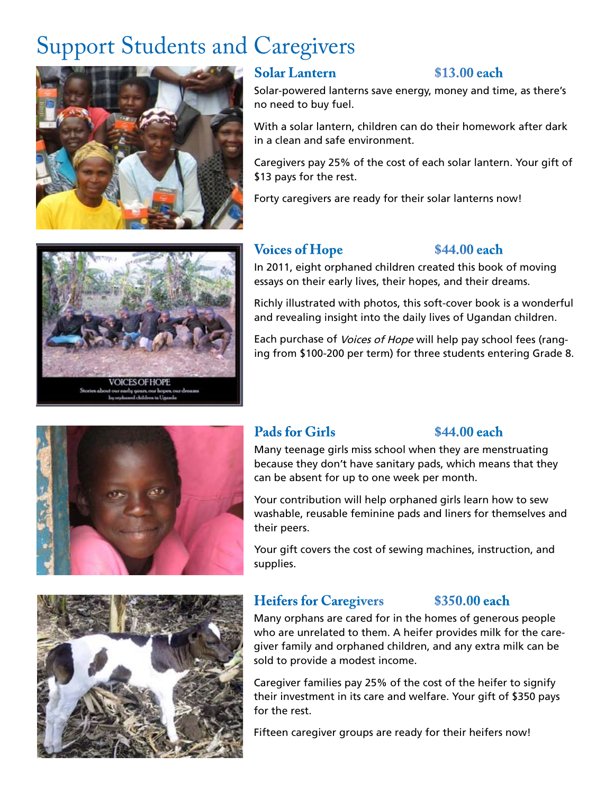# Support Students and Caregivers



### **Solar Lantern \$13.00 each**

Solar-powered lanterns save energy, money and time, as there's no need to buy fuel.

With a solar lantern, children can do their homework after dark in a clean and safe environment.

Caregivers pay 25% of the cost of each solar lantern. Your gift of \$13 pays for the rest.

Forty caregivers are ready for their solar lanterns now!

## **Voices of Hope \$44.00 each**

In 2011, eight orphaned children created this book of moving essays on their early lives, their hopes, and their dreams.

Richly illustrated with photos, this soft-cover book is a wonderful and revealing insight into the daily lives of Ugandan children.

Each purchase of Voices of Hope will help pay school fees (ranging from \$100-200 per term) for three students entering Grade 8.



## Pads for Girls  $$44.00$  each

Many teenage girls miss school when they are menstruating because they don't have sanitary pads, which means that they can be absent for up to one week per month.

Your contribution will help orphaned girls learn how to sew washable, reusable feminine pads and liners for themselves and their peers.

Your gift covers the cost of sewing machines, instruction, and supplies.



### **Heifers for Caregivers \$350.00 each**

### Many orphans are cared for in the homes of generous people who are unrelated to them. A heifer provides milk for the caregiver family and orphaned children, and any extra milk can be sold to provide a modest income.

Caregiver families pay 25% of the cost of the heifer to signify their investment in its care and welfare. Your gift of \$350 pays for the rest.

Fifteen caregiver groups are ready for their heifers now!